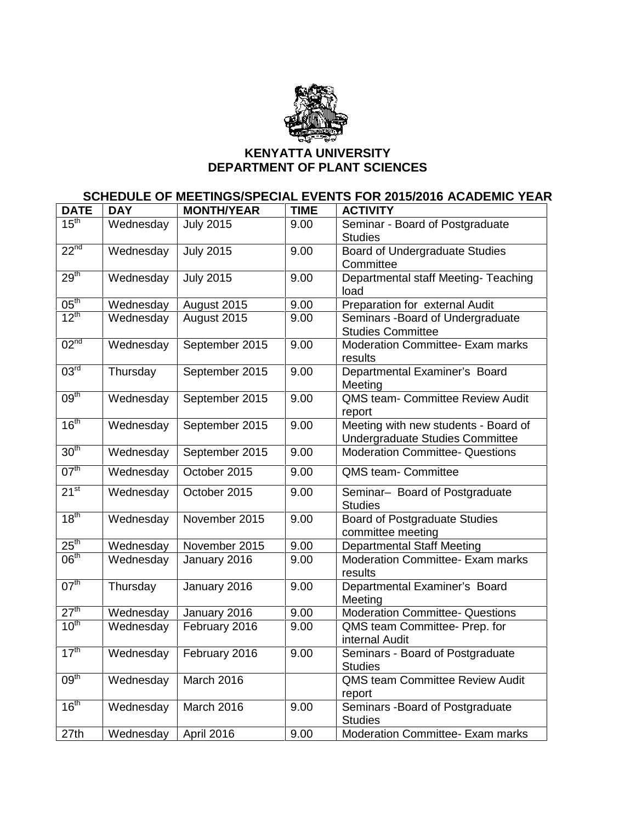

## **KENYATTA UNIVERSITY DEPARTMENT OF PLANT SCIENCES**

## **SCHEDULE OF MEETINGS/SPECIAL EVENTS FOR 2015/2016 ACADEMIC YEAR**

| <b>DATE</b>      | <b>DAY</b> | <b>MONTH/YEAR</b> | <b>TIME</b> | <b>ACTIVITY</b>                                                         |
|------------------|------------|-------------------|-------------|-------------------------------------------------------------------------|
| $15^{\text{th}}$ | Wednesday  | <b>July 2015</b>  | 9.00        | Seminar - Board of Postgraduate<br><b>Studies</b>                       |
| 22 <sup>nd</sup> | Wednesday  | <b>July 2015</b>  | 9.00        | Board of Undergraduate Studies<br>Committee                             |
| 29 <sup>th</sup> | Wednesday  | <b>July 2015</b>  | 9.00        | Departmental staff Meeting- Teaching<br>load                            |
| 05 <sup>th</sup> | Wednesday  | August 2015       | 9.00        | Preparation for external Audit                                          |
| $12^{th}$        | Wednesday  | August 2015       | 9.00        | Seminars - Board of Undergraduate<br><b>Studies Committee</b>           |
| 02 <sup>nd</sup> | Wednesday  | September 2015    | 9.00        | Moderation Committee- Exam marks<br>results                             |
| 03 <sup>rd</sup> | Thursday   | September 2015    | 9.00        | Departmental Examiner's Board<br>Meeting                                |
| 09 <sup>th</sup> | Wednesday  | September 2015    | 9.00        | <b>QMS team- Committee Review Audit</b><br>report                       |
| 16 <sup>th</sup> | Wednesday  | September 2015    | 9.00        | Meeting with new students - Board of<br>Undergraduate Studies Committee |
| 30 <sup>th</sup> | Wednesday  | September 2015    | 9.00        | <b>Moderation Committee- Questions</b>                                  |
| 07 <sup>th</sup> | Wednesday  | October 2015      | 9.00        | QMS team- Committee                                                     |
| $21^{st}$        | Wednesday  | October 2015      | 9.00        | Seminar- Board of Postgraduate<br><b>Studies</b>                        |
| 18 <sup>th</sup> | Wednesday  | November 2015     | 9.00        | <b>Board of Postgraduate Studies</b><br>committee meeting               |
| $25^{\text{th}}$ | Wednesday  | November 2015     | 9.00        | <b>Departmental Staff Meeting</b>                                       |
| 06 <sup>th</sup> | Wednesday  | January 2016      | 9.00        | <b>Moderation Committee- Exam marks</b><br>results                      |
| 07 <sup>th</sup> | Thursday   | January 2016      | 9.00        | Departmental Examiner's Board<br>Meeting                                |
| 27 <sup>th</sup> | Wednesday  | January 2016      | 9.00        | <b>Moderation Committee- Questions</b>                                  |
| 10 <sup>th</sup> | Wednesday  | February 2016     | 9.00        | QMS team Committee- Prep. for<br>internal Audit                         |
| 17 <sup>th</sup> | Wednesday  | February 2016     | 9.00        | Seminars - Board of Postgraduate<br><b>Studies</b>                      |
| 09 <sup>th</sup> | Wednesday  | March 2016        |             | QMS team Committee Review Audit<br>report                               |
| 16 <sup>th</sup> | Wednesday  | March 2016        | 9.00        | Seminars - Board of Postgraduate<br><b>Studies</b>                      |
| 27th             | Wednesday  | April 2016        | 9.00        | Moderation Committee- Exam marks                                        |